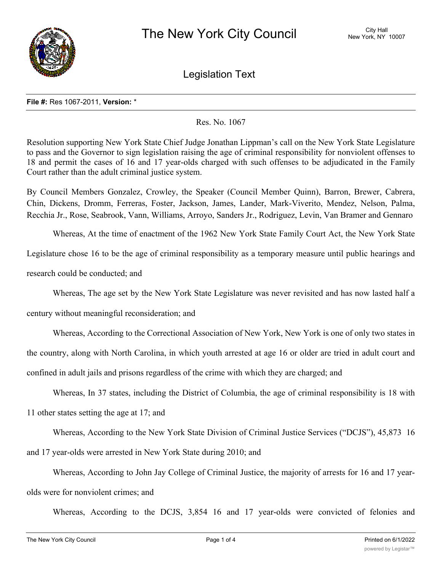

Legislation Text

#### **File #:** Res 1067-2011, **Version:** \*

## Res. No. 1067

Resolution supporting New York State Chief Judge Jonathan Lippman's call on the New York State Legislature to pass and the Governor to sign legislation raising the age of criminal responsibility for nonviolent offenses to 18 and permit the cases of 16 and 17 year-olds charged with such offenses to be adjudicated in the Family Court rather than the adult criminal justice system.

By Council Members Gonzalez, Crowley, the Speaker (Council Member Quinn), Barron, Brewer, Cabrera, Chin, Dickens, Dromm, Ferreras, Foster, Jackson, James, Lander, Mark-Viverito, Mendez, Nelson, Palma, Recchia Jr., Rose, Seabrook, Vann, Williams, Arroyo, Sanders Jr., Rodriguez, Levin, Van Bramer and Gennaro

Whereas, At the time of enactment of the 1962 New York State Family Court Act, the New York State

Legislature chose 16 to be the age of criminal responsibility as a temporary measure until public hearings and

research could be conducted; and

Whereas, The age set by the New York State Legislature was never revisited and has now lasted half a

century without meaningful reconsideration; and

Whereas, According to the Correctional Association of New York, New York is one of only two states in the country, along with North Carolina, in which youth arrested at age 16 or older are tried in adult court and confined in adult jails and prisons regardless of the crime with which they are charged; and

Whereas, In 37 states, including the District of Columbia, the age of criminal responsibility is 18 with 11 other states setting the age at 17; and

Whereas, According to the New York State Division of Criminal Justice Services ("DCJS"), 45,873 16 and 17 year-olds were arrested in New York State during 2010; and

Whereas, According to John Jay College of Criminal Justice, the majority of arrests for 16 and 17 yearolds were for nonviolent crimes; and

Whereas, According to the DCJS, 3,854 16 and 17 year-olds were convicted of felonies and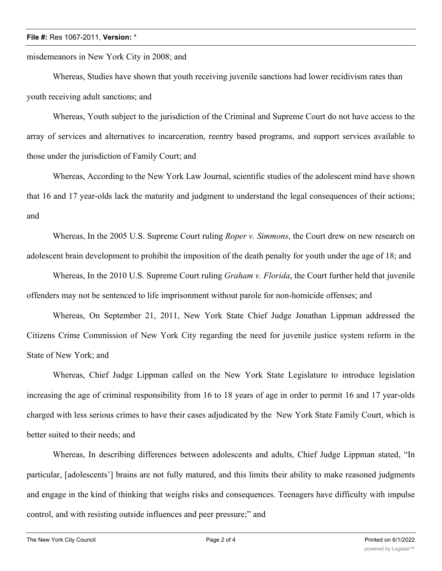### **File #:** Res 1067-2011, **Version:** \*

misdemeanors in New York City in 2008; and

Whereas, Studies have shown that youth receiving juvenile sanctions had lower recidivism rates than youth receiving adult sanctions; and

Whereas, Youth subject to the jurisdiction of the Criminal and Supreme Court do not have access to the array of services and alternatives to incarceration, reentry based programs, and support services available to those under the jurisdiction of Family Court; and

Whereas, According to the New York Law Journal, scientific studies of the adolescent mind have shown that 16 and 17 year-olds lack the maturity and judgment to understand the legal consequences of their actions; and

Whereas, In the 2005 U.S. Supreme Court ruling *Roper v. Simmons*, the Court drew on new research on adolescent brain development to prohibit the imposition of the death penalty for youth under the age of 18; and

Whereas, In the 2010 U.S. Supreme Court ruling *Graham v. Florida*, the Court further held that juvenile offenders may not be sentenced to life imprisonment without parole for non-homicide offenses; and

Whereas, On September 21, 2011, New York State Chief Judge Jonathan Lippman addressed the Citizens Crime Commission of New York City regarding the need for juvenile justice system reform in the State of New York; and

Whereas, Chief Judge Lippman called on the New York State Legislature to introduce legislation increasing the age of criminal responsibility from 16 to 18 years of age in order to permit 16 and 17 year-olds charged with less serious crimes to have their cases adjudicated by the New York State Family Court, which is better suited to their needs; and

Whereas, In describing differences between adolescents and adults, Chief Judge Lippman stated, "In particular, [adolescents'] brains are not fully matured, and this limits their ability to make reasoned judgments and engage in the kind of thinking that weighs risks and consequences. Teenagers have difficulty with impulse control, and with resisting outside influences and peer pressure;" and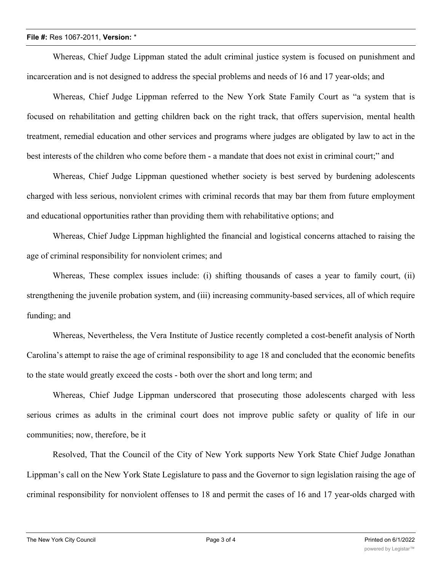### **File #:** Res 1067-2011, **Version:** \*

Whereas, Chief Judge Lippman stated the adult criminal justice system is focused on punishment and incarceration and is not designed to address the special problems and needs of 16 and 17 year-olds; and

Whereas, Chief Judge Lippman referred to the New York State Family Court as "a system that is focused on rehabilitation and getting children back on the right track, that offers supervision, mental health treatment, remedial education and other services and programs where judges are obligated by law to act in the best interests of the children who come before them - a mandate that does not exist in criminal court;" and

Whereas, Chief Judge Lippman questioned whether society is best served by burdening adolescents charged with less serious, nonviolent crimes with criminal records that may bar them from future employment and educational opportunities rather than providing them with rehabilitative options; and

Whereas, Chief Judge Lippman highlighted the financial and logistical concerns attached to raising the age of criminal responsibility for nonviolent crimes; and

Whereas, These complex issues include: (i) shifting thousands of cases a year to family court, (ii) strengthening the juvenile probation system, and (iii) increasing community-based services, all of which require funding; and

Whereas, Nevertheless, the Vera Institute of Justice recently completed a cost-benefit analysis of North Carolina's attempt to raise the age of criminal responsibility to age 18 and concluded that the economic benefits to the state would greatly exceed the costs - both over the short and long term; and

Whereas, Chief Judge Lippman underscored that prosecuting those adolescents charged with less serious crimes as adults in the criminal court does not improve public safety or quality of life in our communities; now, therefore, be it

Resolved, That the Council of the City of New York supports New York State Chief Judge Jonathan Lippman's call on the New York State Legislature to pass and the Governor to sign legislation raising the age of criminal responsibility for nonviolent offenses to 18 and permit the cases of 16 and 17 year-olds charged with